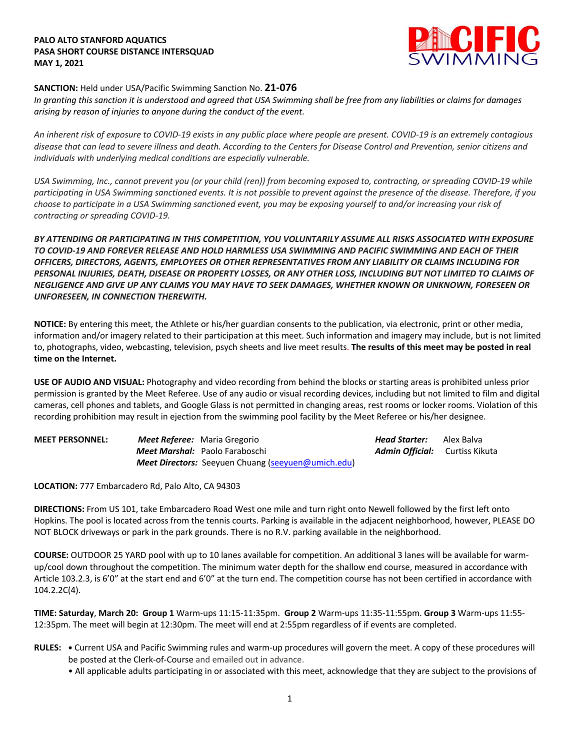### **PALO ALTO STANFORD AQUATICS PASA SHORT COURSE DISTANCE INTERSQUAD MAY 1, 2021**



# **SANCTION:** Held under USA/Pacific Swimming Sanction No. **21-076**

*In granting this sanction it is understood and agreed that USA Swimming shall be free from any liabilities or claims for damages arising by reason of injuries to anyone during the conduct of the event.* 

*An inherent risk of exposure to COVID-19 exists in any public place where people are present. COVID-19 is an extremely contagious disease that can lead to severe illness and death. According to the Centers for Disease Control and Prevention, senior citizens and individuals with underlying medical conditions are especially vulnerable.*

*USA Swimming, Inc., cannot prevent you (or your child (ren)) from becoming exposed to, contracting, or spreading COVID-19 while participating in USA Swimming sanctioned events. It is not possible to prevent against the presence of the disease. Therefore, if you choose to participate in a USA Swimming sanctioned event, you may be exposing yourself to and/or increasing your risk of contracting or spreading COVID-19.*

*BY ATTENDING OR PARTICIPATING IN THIS COMPETITION, YOU VOLUNTARILY ASSUME ALL RISKS ASSOCIATED WITH EXPOSURE TO COVID-19 AND FOREVER RELEASE AND HOLD HARMLESS USA SWIMMING AND PACIFIC SWIMMING AND EACH OF THEIR OFFICERS, DIRECTORS, AGENTS, EMPLOYEES OR OTHER REPRESENTATIVES FROM ANY LIABILITY OR CLAIMS INCLUDING FOR PERSONAL INJURIES, DEATH, DISEASE OR PROPERTY LOSSES, OR ANY OTHER LOSS, INCLUDING BUT NOT LIMITED TO CLAIMS OF NEGLIGENCE AND GIVE UP ANY CLAIMS YOU MAY HAVE TO SEEK DAMAGES, WHETHER KNOWN OR UNKNOWN, FORESEEN OR UNFORESEEN, IN CONNECTION THEREWITH.*

**NOTICE:** By entering this meet, the Athlete or his/her guardian consents to the publication, via electronic, print or other media, information and/or imagery related to their participation at this meet. Such information and imagery may include, but is not limited to, photographs, video, webcasting, television, psych sheets and live meet results. **The results of this meet may be posted in real time on the Internet.**

**USE OF AUDIO AND VISUAL:** Photography and video recording from behind the blocks or starting areas is prohibited unless prior permission is granted by the Meet Referee. Use of any audio or visual recording devices, including but not limited to film and digital cameras, cell phones and tablets, and Google Glass is not permitted in changing areas, rest rooms or locker rooms. Violation of this recording prohibition may result in ejection from the swimming pool facility by the Meet Referee or his/her designee.

| <b>MEET PERSONNEL:</b> | <b>Meet Referee:</b> Maria Gregorio                | Head Starter:                         | Alex Balva |
|------------------------|----------------------------------------------------|---------------------------------------|------------|
|                        | Meet Marshal: Paolo Faraboschi                     | <b>Admin Official:</b> Curtiss Kikuta |            |
|                        | Meet Directors: Seeyuen Chuang (seeyuen@umich.edu) |                                       |            |

**LOCATION:** 777 Embarcadero Rd, Palo Alto, CA 94303

**DIRECTIONS:** From US 101, take Embarcadero Road West one mile and turn right onto Newell followed by the first left onto Hopkins. The pool is located across from the tennis courts. Parking is available in the adjacent neighborhood, however, PLEASE DO NOT BLOCK driveways or park in the park grounds. There is no R.V. parking available in the neighborhood.

**COURSE:** OUTDOOR 25 YARD pool with up to 10 lanes available for competition. An additional 3 lanes will be available for warmup/cool down throughout the competition. The minimum water depth for the shallow end course, measured in accordance with Article 103.2.3, is 6'0" at the start end and 6'0" at the turn end. The competition course has not been certified in accordance with 104.2.2C(4).

**TIME: Saturday**, **March 20: Group 1** Warm-ups 11:15-11:35pm. **Group 2** Warm-ups 11:35-11:55pm. **Group 3** Warm-ups 11:55- 12:35pm. The meet will begin at 12:30pm. The meet will end at 2:55pm regardless of if events are completed.

- **RULES: •** Current USA and Pacific Swimming rules and warm-up procedures will govern the meet. A copy of these procedures will be posted at the Clerk-of-Course and emailed out in advance.
	- All applicable adults participating in or associated with this meet, acknowledge that they are subject to the provisions of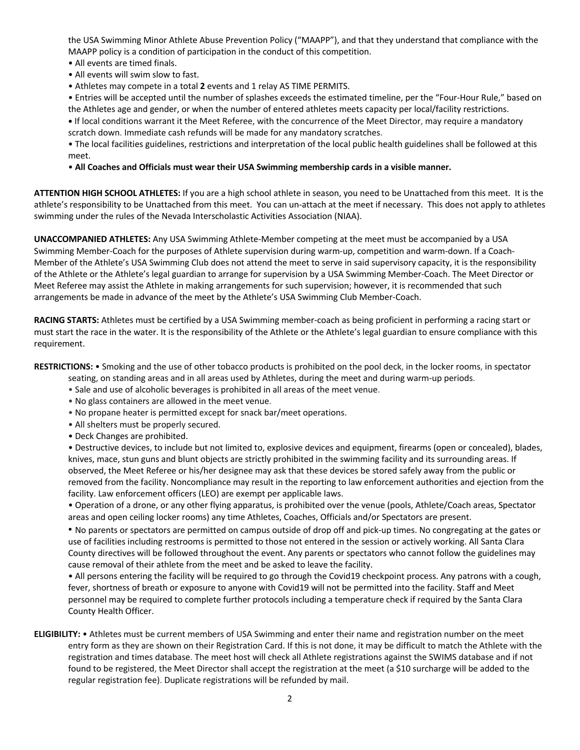the USA Swimming Minor Athlete Abuse Prevention Policy ("MAAPP"), and that they understand that compliance with the MAAPP policy is a condition of participation in the conduct of this competition.

- All events are timed finals.
- All events will swim slow to fast.
- Athletes may compete in a total **2** events and 1 relay AS TIME PERMITS.

• Entries will be accepted until the number of splashes exceeds the estimated timeline, per the "Four-Hour Rule," based on the Athletes age and gender, or when the number of entered athletes meets capacity per local/facility restrictions.

**•** If local conditions warrant it the Meet Referee, with the concurrence of the Meet Director, may require a mandatory scratch down. Immediate cash refunds will be made for any mandatory scratches.

• The local facilities guidelines, restrictions and interpretation of the local public health guidelines shall be followed at this meet.

# • **All Coaches and Officials must wear their USA Swimming membership cards in a visible manner.**

**ATTENTION HIGH SCHOOL ATHLETES:** If you are a high school athlete in season, you need to be Unattached from this meet. It is the athlete's responsibility to be Unattached from this meet. You can un-attach at the meet if necessary. This does not apply to athletes swimming under the rules of the Nevada Interscholastic Activities Association (NIAA).

**UNACCOMPANIED ATHLETES:** Any USA Swimming Athlete-Member competing at the meet must be accompanied by a USA Swimming Member-Coach for the purposes of Athlete supervision during warm-up, competition and warm-down. If a Coach-Member of the Athlete's USA Swimming Club does not attend the meet to serve in said supervisory capacity, it is the responsibility of the Athlete or the Athlete's legal guardian to arrange for supervision by a USA Swimming Member-Coach. The Meet Director or Meet Referee may assist the Athlete in making arrangements for such supervision; however, it is recommended that such arrangements be made in advance of the meet by the Athlete's USA Swimming Club Member-Coach.

**RACING STARTS:** Athletes must be certified by a USA Swimming member-coach as being proficient in performing a racing start or must start the race in the water. It is the responsibility of the Athlete or the Athlete's legal guardian to ensure compliance with this requirement.

**RESTRICTIONS:** • Smoking and the use of other tobacco products is prohibited on the pool deck, in the locker rooms, in spectator

seating, on standing areas and in all areas used by Athletes, during the meet and during warm-up periods.

- Sale and use of alcoholic beverages is prohibited in all areas of the meet venue.
- No glass containers are allowed in the meet venue.
- No propane heater is permitted except for snack bar/meet operations.
- All shelters must be properly secured.
- Deck Changes are prohibited.

• Destructive devices, to include but not limited to, explosive devices and equipment, firearms (open or concealed), blades, knives, mace, stun guns and blunt objects are strictly prohibited in the swimming facility and its surrounding areas. If observed, the Meet Referee or his/her designee may ask that these devices be stored safely away from the public or removed from the facility. Noncompliance may result in the reporting to law enforcement authorities and ejection from the facility. Law enforcement officers (LEO) are exempt per applicable laws.

• Operation of a drone, or any other flying apparatus, is prohibited over the venue (pools, Athlete/Coach areas, Spectator areas and open ceiling locker rooms) any time Athletes, Coaches, Officials and/or Spectators are present.

• No parents or spectators are permitted on campus outside of drop off and pick-up times. No congregating at the gates or use of facilities including restrooms is permitted to those not entered in the session or actively working. All Santa Clara County directives will be followed throughout the event. Any parents or spectators who cannot follow the guidelines may cause removal of their athlete from the meet and be asked to leave the facility.

• All persons entering the facility will be required to go through the Covid19 checkpoint process. Any patrons with a cough, fever, shortness of breath or exposure to anyone with Covid19 will not be permitted into the facility. Staff and Meet personnel may be required to complete further protocols including a temperature check if required by the Santa Clara County Health Officer.

**ELIGIBILITY:** • Athletes must be current members of USA Swimming and enter their name and registration number on the meet entry form as they are shown on their Registration Card. If this is not done, it may be difficult to match the Athlete with the registration and times database. The meet host will check all Athlete registrations against the SWIMS database and if not found to be registered, the Meet Director shall accept the registration at the meet (a \$10 surcharge will be added to the regular registration fee). Duplicate registrations will be refunded by mail.